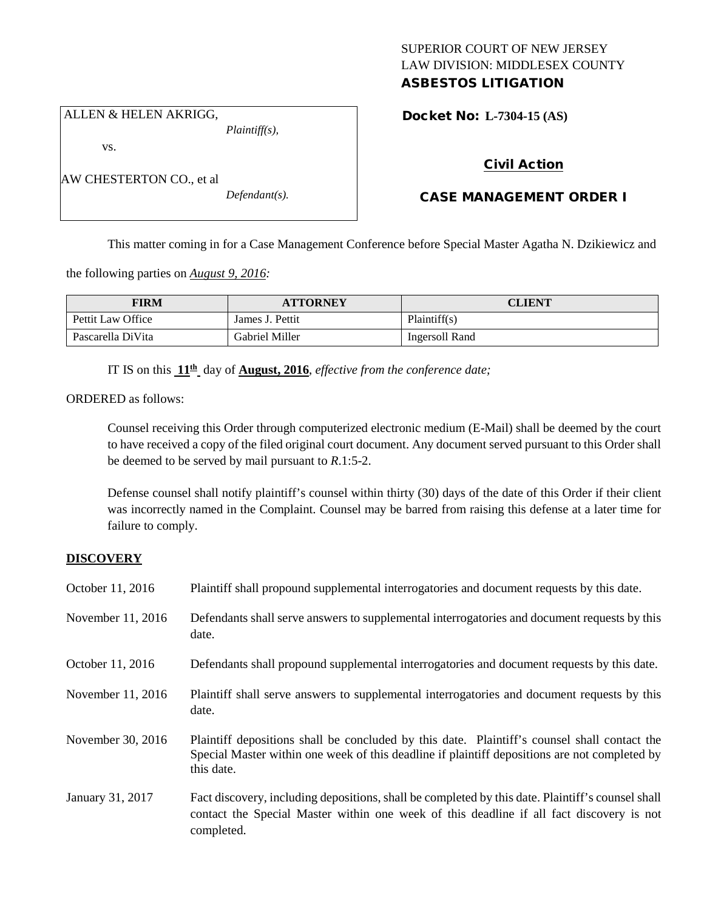# SUPERIOR COURT OF NEW JERSEY LAW DIVISION: MIDDLESEX COUNTY ASBESTOS LITIGATION

ALLEN & HELEN AKRIGG,

AW CHESTERTON CO., et al

vs.

*Plaintiff(s),*

*Defendant(s).*

Docket No: **L-7304-15 (AS)** 

# Civil Action

# CASE MANAGEMENT ORDER I

This matter coming in for a Case Management Conference before Special Master Agatha N. Dzikiewicz and

the following parties on *August 9, 2016:*

| <b>FIRM</b>       | <b>ATTORNEY</b> | CLIENT         |
|-------------------|-----------------|----------------|
| Pettit Law Office | James J. Pettit | Plaintiff(s)   |
| Pascarella DiVita | Gabriel Miller  | Ingersoll Rand |

IT IS on this **11th** day of **August, 2016**, *effective from the conference date;*

ORDERED as follows:

Counsel receiving this Order through computerized electronic medium (E-Mail) shall be deemed by the court to have received a copy of the filed original court document. Any document served pursuant to this Order shall be deemed to be served by mail pursuant to *R*.1:5-2.

Defense counsel shall notify plaintiff's counsel within thirty (30) days of the date of this Order if their client was incorrectly named in the Complaint. Counsel may be barred from raising this defense at a later time for failure to comply.

# **DISCOVERY**

| October 11, 2016  | Plaintiff shall propound supplemental interrogatories and document requests by this date.                                                                                                                   |
|-------------------|-------------------------------------------------------------------------------------------------------------------------------------------------------------------------------------------------------------|
| November 11, 2016 | Defendants shall serve answers to supplemental interrogatories and document requests by this<br>date.                                                                                                       |
| October 11, 2016  | Defendants shall propound supplemental interrogatories and document requests by this date.                                                                                                                  |
| November 11, 2016 | Plaintiff shall serve answers to supplemental interrogatories and document requests by this<br>date.                                                                                                        |
| November 30, 2016 | Plaintiff depositions shall be concluded by this date. Plaintiff's counsel shall contact the<br>Special Master within one week of this deadline if plaintiff depositions are not completed by<br>this date. |
| January 31, 2017  | Fact discovery, including depositions, shall be completed by this date. Plaintiff's counsel shall<br>contact the Special Master within one week of this deadline if all fact discovery is not<br>completed. |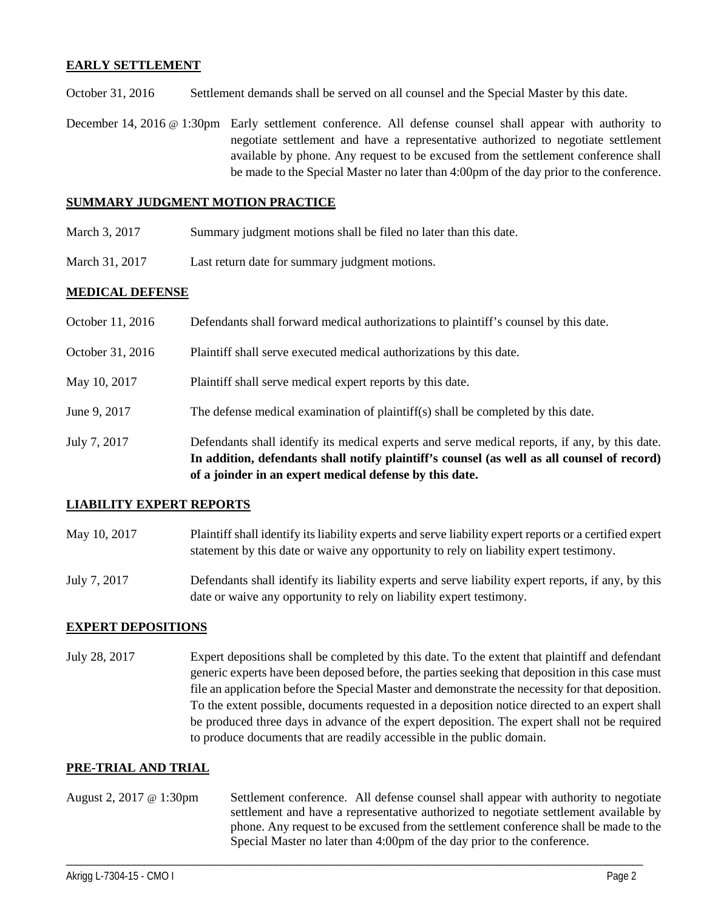### **EARLY SETTLEMENT**

October 31, 2016 Settlement demands shall be served on all counsel and the Special Master by this date.

December 14, 2016 @ 1:30pm Early settlement conference. All defense counsel shall appear with authority to negotiate settlement and have a representative authorized to negotiate settlement available by phone. Any request to be excused from the settlement conference shall be made to the Special Master no later than 4:00pm of the day prior to the conference.

## **SUMMARY JUDGMENT MOTION PRACTICE**

- March 3, 2017 Summary judgment motions shall be filed no later than this date.
- March 31, 2017 Last return date for summary judgment motions.

#### **MEDICAL DEFENSE**

|                  | In addition, defendants shall notify plaintiff's counsel (as well as all counsel of record)<br>of a joinder in an expert medical defense by this date. |
|------------------|--------------------------------------------------------------------------------------------------------------------------------------------------------|
| July 7, 2017     | Defendants shall identify its medical experts and serve medical reports, if any, by this date.                                                         |
| June 9, 2017     | The defense medical examination of plaintiff(s) shall be completed by this date.                                                                       |
| May 10, 2017     | Plaintiff shall serve medical expert reports by this date.                                                                                             |
| October 31, 2016 | Plaintiff shall serve executed medical authorizations by this date.                                                                                    |
| October 11, 2016 | Defendants shall forward medical authorizations to plaintiff's counsel by this date.                                                                   |

### **LIABILITY EXPERT REPORTS**

- May 10, 2017 Plaintiff shall identify its liability experts and serve liability expert reports or a certified expert statement by this date or waive any opportunity to rely on liability expert testimony.
- July 7, 2017 Defendants shall identify its liability experts and serve liability expert reports, if any, by this date or waive any opportunity to rely on liability expert testimony.

# **EXPERT DEPOSITIONS**

July 28, 2017 Expert depositions shall be completed by this date. To the extent that plaintiff and defendant generic experts have been deposed before, the parties seeking that deposition in this case must file an application before the Special Master and demonstrate the necessity for that deposition. To the extent possible, documents requested in a deposition notice directed to an expert shall be produced three days in advance of the expert deposition. The expert shall not be required to produce documents that are readily accessible in the public domain.

### **PRE-TRIAL AND TRIAL**

August 2, 2017 @ 1:30pm Settlement conference. All defense counsel shall appear with authority to negotiate settlement and have a representative authorized to negotiate settlement available by phone. Any request to be excused from the settlement conference shall be made to the Special Master no later than 4:00pm of the day prior to the conference.

\_\_\_\_\_\_\_\_\_\_\_\_\_\_\_\_\_\_\_\_\_\_\_\_\_\_\_\_\_\_\_\_\_\_\_\_\_\_\_\_\_\_\_\_\_\_\_\_\_\_\_\_\_\_\_\_\_\_\_\_\_\_\_\_\_\_\_\_\_\_\_\_\_\_\_\_\_\_\_\_\_\_\_\_\_\_\_\_\_\_\_\_\_\_\_\_\_\_\_\_\_\_\_\_\_\_\_\_\_\_